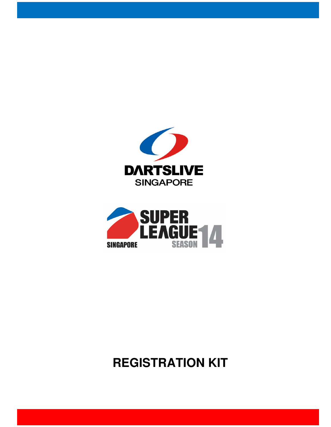



# **REGISTRATION KIT**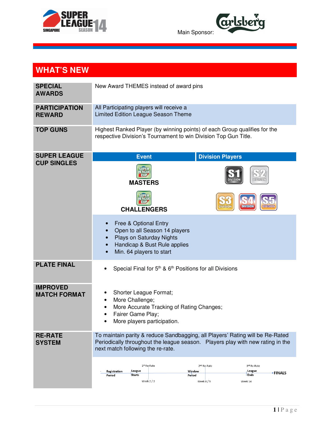



### **WHAT'S NEW**

| <b>SPECIAL</b><br><b>AWARDS</b>        | New Award THEMES instead of award pins                                                                                                                                                                                                                         |  |  |  |  |  |
|----------------------------------------|----------------------------------------------------------------------------------------------------------------------------------------------------------------------------------------------------------------------------------------------------------------|--|--|--|--|--|
| <b>PARTICIPATION</b><br><b>REWARD</b>  | All Participating players will receive a<br>Limited Edition League Season Theme                                                                                                                                                                                |  |  |  |  |  |
| <b>TOP GUNS</b>                        | Highest Ranked Player (by winning points) of each Group qualifies for the<br>respective Division's Tournament to win Division Top Gun Title.                                                                                                                   |  |  |  |  |  |
| <b>SUPER LEAGUE</b>                    | <b>Division Players</b><br><b>Event</b>                                                                                                                                                                                                                        |  |  |  |  |  |
| <b>CUP SINGLES</b>                     | CUI<br><b>MASTERS</b>                                                                                                                                                                                                                                          |  |  |  |  |  |
|                                        | <b>DIVISION</b><br><b>DIVISIO</b><br><b>DIVISION</b><br><b>CHALLENGERS</b>                                                                                                                                                                                     |  |  |  |  |  |
|                                        | Free & Optional Entry<br>$\bullet$<br>Open to all Season 14 players<br>$\bullet$<br>Plays on Saturday Nights<br>$\bullet$<br>Handicap & Bust Rule applies<br>$\bullet$<br>Min. 64 players to start                                                             |  |  |  |  |  |
| <b>PLATE FINAL</b>                     | Special Final for 5 <sup>th</sup> & 6 <sup>th</sup> Positions for all Divisions                                                                                                                                                                                |  |  |  |  |  |
| <b>IMPROVED</b><br><b>MATCH FORMAT</b> | Shorter League Format;<br>More Challenge;<br>٠<br>More Accurate Tracking of Rating Changes;<br>Fairer Game Play;<br>More players participation.                                                                                                                |  |  |  |  |  |
| <b>RE-RATE</b><br><b>SYSTEM</b>        | To maintain parity & reduce Sandbagging, all Players' Rating will be Re-Rated<br>Periodically throughout the league season.  Players play with new rating in the<br>next match following the re-rate.<br>1st Re-Rate<br>2 <sup>nd</sup> Re-Rate<br>3rd Re-Rate |  |  |  |  |  |
|                                        | League<br>League<br>Window<br>Registration<br>⊁FINALS<br><b>Starts</b><br>Ends<br>Period<br>Period<br>Week $2/3$<br>Week $8/9$<br>Week 14                                                                                                                      |  |  |  |  |  |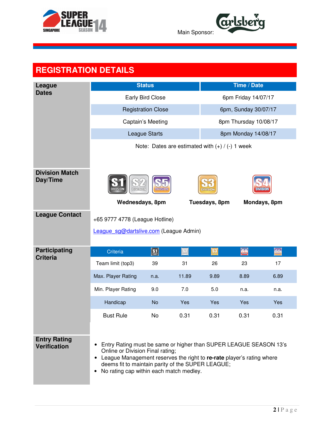

**Carlsberg** Main Sponsor:

| <b>REGISTRATION DETAILS</b>                |                                                                                                                                                                                                                                                                                                       |                      |       |                                                     |                       |              |
|--------------------------------------------|-------------------------------------------------------------------------------------------------------------------------------------------------------------------------------------------------------------------------------------------------------------------------------------------------------|----------------------|-------|-----------------------------------------------------|-----------------------|--------------|
| League                                     |                                                                                                                                                                                                                                                                                                       | <b>Status</b>        |       |                                                     | Time / Date           |              |
| <b>Dates</b>                               | <b>Early Bird Close</b>                                                                                                                                                                                                                                                                               |                      |       | 6pm Friday 14/07/17                                 |                       |              |
|                                            | <b>Registration Close</b>                                                                                                                                                                                                                                                                             | 6pm, Sunday 30/07/17 |       |                                                     |                       |              |
|                                            |                                                                                                                                                                                                                                                                                                       | Captain's Meeting    |       |                                                     | 8pm Thursday 10/08/17 |              |
|                                            |                                                                                                                                                                                                                                                                                                       | League Starts        |       |                                                     | 8pm Monday 14/08/17   |              |
|                                            |                                                                                                                                                                                                                                                                                                       |                      |       | Note: Dates are estimated with $(+)$ / $(-)$ 1 week |                       |              |
|                                            |                                                                                                                                                                                                                                                                                                       |                      |       |                                                     |                       |              |
| <b>Division Match</b><br>Day/Time          | DIVISION<br><b>DIVISION</b>                                                                                                                                                                                                                                                                           | <b>DIVISIO</b>       |       |                                                     |                       |              |
|                                            | Wednesdays, 8pm                                                                                                                                                                                                                                                                                       |                      |       | Tuesdays, 8pm                                       |                       | Mondays, 8pm |
| <b>League Contact</b>                      | +65 9777 4778 (League Hotline)                                                                                                                                                                                                                                                                        |                      |       |                                                     |                       |              |
|                                            | League sg@dartslive.com (League Admin)                                                                                                                                                                                                                                                                |                      |       |                                                     |                       |              |
|                                            |                                                                                                                                                                                                                                                                                                       |                      |       |                                                     |                       |              |
| <b>Participating</b><br><b>Criteria</b>    | Criteria                                                                                                                                                                                                                                                                                              | S <sub>over</sub>    | 52    | $ \mathbf{S3} $                                     | S <sub>4</sub>        | <b>S5</b>    |
|                                            | Team limit (top3)                                                                                                                                                                                                                                                                                     | 39                   | 31    | 26                                                  | 23                    | 17           |
|                                            | Max. Player Rating                                                                                                                                                                                                                                                                                    | n.a.                 | 11.89 | 9.89                                                | 8.89                  | 6.89         |
|                                            | Min. Player Rating                                                                                                                                                                                                                                                                                    | 9.0                  | 7.0   | 5.0                                                 | n.a.                  | n.a.         |
|                                            | Handicap                                                                                                                                                                                                                                                                                              | <b>No</b>            | Yes   | Yes                                                 | Yes                   | Yes          |
|                                            | <b>Bust Rule</b>                                                                                                                                                                                                                                                                                      | <b>No</b>            | 0.31  | 0.31                                                | 0.31                  | 0.31         |
|                                            |                                                                                                                                                                                                                                                                                                       |                      |       |                                                     |                       |              |
| <b>Entry Rating</b><br><b>Verification</b> | Entry Rating must be same or higher than SUPER LEAGUE SEASON 13's<br>٠<br>Online or Division Final rating;<br>League Management reserves the right to re-rate player's rating where<br>٠<br>deems fit to maintain parity of the SUPER LEAGUE;<br>No rating cap within each match medley.<br>$\bullet$ |                      |       |                                                     |                       |              |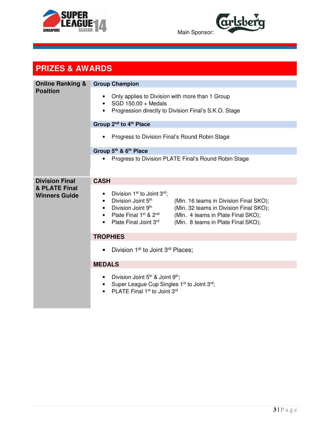



#### **PRIZES & AWARDS**

| <b>Online Ranking &amp;</b><br><b>Position</b> | <b>Group Champion</b>                                                                                                                                                                                                                                                                                                                                   |  |  |  |  |
|------------------------------------------------|---------------------------------------------------------------------------------------------------------------------------------------------------------------------------------------------------------------------------------------------------------------------------------------------------------------------------------------------------------|--|--|--|--|
|                                                | Only applies to Division with more than 1 Group<br>SGD 150.00 + Medals<br>Progression directly to Division Final's S.K.O. Stage                                                                                                                                                                                                                         |  |  |  |  |
|                                                | Group 2 <sup>nd</sup> to 4 <sup>th</sup> Place                                                                                                                                                                                                                                                                                                          |  |  |  |  |
|                                                | Progress to Division Final's Round Robin Stage                                                                                                                                                                                                                                                                                                          |  |  |  |  |
|                                                | Group 5th & 6th Place                                                                                                                                                                                                                                                                                                                                   |  |  |  |  |
|                                                | Progress to Division PLATE Final's Round Robin Stage<br>$\bullet$                                                                                                                                                                                                                                                                                       |  |  |  |  |
| <b>Division Final</b>                          | <b>CASH</b>                                                                                                                                                                                                                                                                                                                                             |  |  |  |  |
| & PLATE Final<br><b>Winners Guide</b>          | Division 1 <sup>st</sup> to Joint 3 <sup>rd</sup> ;<br>Division Joint 5th<br>(Min. 16 teams in Division Final SKO);<br>$\bullet$<br>Division Joint 9th<br>(Min. 32 teams in Division Final SKO);<br>$\bullet$<br>Plate Final 1st & 2 <sup>nd</sup><br>(Min. 4 teams in Plate Final SKO);<br>Plate Final Joint 3rd<br>(Min. 8 teams in Plate Final SKO); |  |  |  |  |
|                                                | <b>TROPHIES</b>                                                                                                                                                                                                                                                                                                                                         |  |  |  |  |
|                                                | Division 1 <sup>st</sup> to Joint 3 <sup>rd</sup> Places;<br>$\bullet$                                                                                                                                                                                                                                                                                  |  |  |  |  |
|                                                | <b>MEDALS</b>                                                                                                                                                                                                                                                                                                                                           |  |  |  |  |
|                                                | Division Joint 5 <sup>th</sup> & Joint 9 <sup>th</sup> ;<br>$\bullet$<br>Super League Cup Singles 1st to Joint 3rd;<br>PLATE Final 1 <sup>st</sup> to Joint 3rd                                                                                                                                                                                         |  |  |  |  |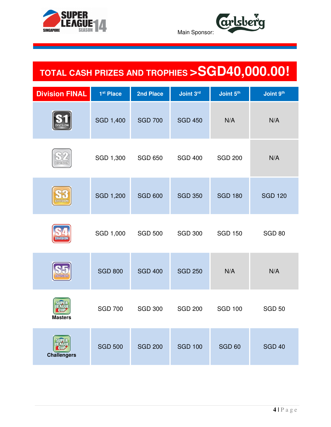



# **TOTAL CASH PRIZES AND TROPHIES >SGD40,000.00!**

| <b>Division FINAL</b> | 1 <sup>st</sup> Place | 2nd Place      | Joint 3rd      | Joint 5th      | Joint 9th      |
|-----------------------|-----------------------|----------------|----------------|----------------|----------------|
| <b>IVISIO</b>         | <b>SGD 1,400</b>      | <b>SGD 700</b> | <b>SGD 450</b> | N/A            | N/A            |
| <b>DIVISION</b>       | SGD 1,300             | <b>SGD 650</b> | <b>SGD 400</b> | <b>SGD 200</b> | N/A            |
| <b>DIVISION</b>       | <b>SGD 1,200</b>      | <b>SGD 600</b> | <b>SGD 350</b> | <b>SGD 180</b> | <b>SGD 120</b> |
|                       | SGD 1,000             | <b>SGD 500</b> | <b>SGD 300</b> | <b>SGD 150</b> | <b>SGD 80</b>  |
| DIMEION<br>Dimeion    | <b>SGD 800</b>        | <b>SGD 400</b> | <b>SGD 250</b> | N/A            | N/A            |
| <b>Masters</b>        | <b>SGD 700</b>        | <b>SGD 300</b> | <b>SGD 200</b> | <b>SGD 100</b> | <b>SGD 50</b>  |
| <b>Challengers</b>    | <b>SGD 500</b>        | <b>SGD 200</b> | <b>SGD 100</b> | <b>SGD 60</b>  | <b>SGD 40</b>  |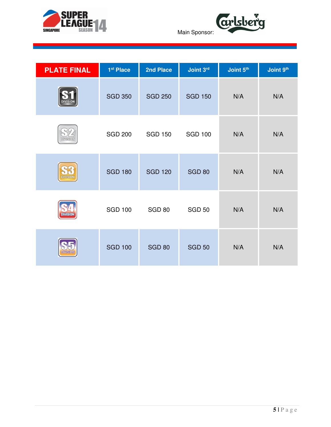



Main Sponsor:

| <b>PLATE FINAL</b> | 1 <sup>st</sup> Place | 2nd Place      | Joint 3rd      | Joint 5th | Joint 9th |
|--------------------|-----------------------|----------------|----------------|-----------|-----------|
| <b>DIVISION</b>    | <b>SGD 350</b>        | <b>SGD 250</b> | <b>SGD 150</b> | N/A       | N/A       |
| <b>DIVISION</b>    | <b>SGD 200</b>        | <b>SGD 150</b> | <b>SGD 100</b> | N/A       | N/A       |
| <b>DIVISION</b>    | <b>SGD 180</b>        | <b>SGD 120</b> | <b>SGD 80</b>  | N/A       | N/A       |
|                    | <b>SGD 100</b>        | <b>SGD 80</b>  | <b>SGD 50</b>  | N/A       | N/A       |
| <b>DIVISION</b>    | <b>SGD 100</b>        | <b>SGD 80</b>  | <b>SGD 50</b>  | N/A       | N/A       |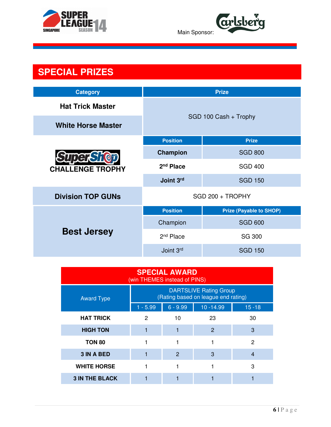



### **SPECIAL PRIZES**

| <b>Category</b>           |                       | <b>Prize</b>                   |  |
|---------------------------|-----------------------|--------------------------------|--|
| <b>Hat Trick Master</b>   | SGD 100 Cash + Trophy |                                |  |
| <b>White Horse Master</b> |                       |                                |  |
|                           | <b>Position</b>       | <b>Prize</b>                   |  |
| <b>SuperShot</b>          | Champion              | <b>SGD 800</b>                 |  |
| <b>CHALLENGE TROPHY</b>   | $2nd$ Place           | <b>SGD 400</b>                 |  |
|                           | Joint 3rd             | <b>SGD 150</b>                 |  |
| <b>Division TOP GUNs</b>  | SGD 200 + TROPHY      |                                |  |
|                           | <b>Position</b>       | <b>Prize (Payable to SHOP)</b> |  |
|                           | Champion              | <b>SGD 600</b>                 |  |
| <b>Best Jersey</b>        | 2 <sup>nd</sup> Place | <b>SG 300</b>                  |  |
|                           | Joint 3rd             | <b>SGD 150</b>                 |  |

| <b>SPECIAL AWARD</b><br>(win THEMES instead of PINS) |            |                                                                      |              |           |  |  |  |
|------------------------------------------------------|------------|----------------------------------------------------------------------|--------------|-----------|--|--|--|
| <b>Award Type</b>                                    |            | <b>DARTSLIVE Rating Group</b><br>(Rating based on league end rating) |              |           |  |  |  |
|                                                      | $1 - 5.99$ | $6 - 9.99$                                                           | $10 - 14.99$ | $15 - 18$ |  |  |  |
| <b>HAT TRICK</b>                                     | 2          | 10                                                                   | 23           | 30        |  |  |  |
| <b>HIGH TON</b>                                      |            |                                                                      | 2            | 3         |  |  |  |
| <b>TON 80</b>                                        |            |                                                                      |              | 2         |  |  |  |
| <b>3 IN A BED</b>                                    |            | $\overline{2}$                                                       | 3            | 4         |  |  |  |
| <b>WHITE HORSE</b>                                   |            |                                                                      |              | 3         |  |  |  |
| <b>3 IN THE BLACK</b>                                |            |                                                                      |              |           |  |  |  |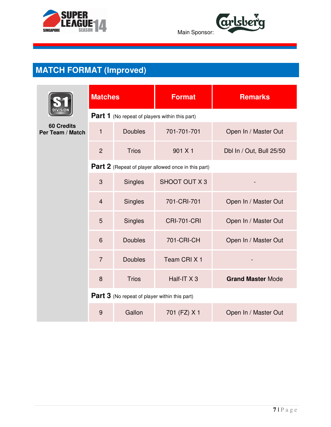



|                                       | <b>Matches</b> |                                                       | <b>Format</b>                                              | <b>Remarks</b>           |
|---------------------------------------|----------------|-------------------------------------------------------|------------------------------------------------------------|--------------------------|
|                                       |                | <b>Part 1</b> (No repeat of players within this part) |                                                            |                          |
| <b>60 Credits</b><br>Per Team / Match | $\mathbf{1}$   | <b>Doubles</b>                                        | 701-701-701                                                | Open In / Master Out     |
|                                       | $\overline{2}$ | <b>Trios</b>                                          | 901 X 1                                                    | Dbl In / Out, Bull 25/50 |
|                                       |                |                                                       | <b>Part 2</b> (Repeat of player allowed once in this part) |                          |
|                                       | 3              | <b>Singles</b>                                        | <b>SHOOT OUT X3</b>                                        |                          |
|                                       | $\overline{4}$ | <b>Singles</b>                                        | 701-CRI-701                                                | Open In / Master Out     |
|                                       | 5              | <b>Singles</b>                                        | <b>CRI-701-CRI</b>                                         | Open In / Master Out     |
|                                       | 6              | <b>Doubles</b>                                        | 701-CRI-CH                                                 | Open In / Master Out     |
|                                       | $\overline{7}$ | <b>Doubles</b>                                        | Team CRIX <sub>1</sub>                                     |                          |
|                                       | 8              | <b>Trios</b>                                          | Half-IT X 3                                                | <b>Grand Master Mode</b> |
|                                       |                | <b>Part 3</b> (No repeat of player within this part)  |                                                            |                          |
|                                       | 9              | Gallon                                                | 701 (FZ) X 1                                               | Open In / Master Out     |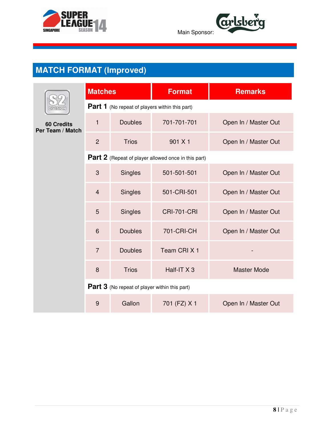



|                                       | <b>Matches</b> |                                                       | <b>Format</b>                                       | <b>Remarks</b>       |
|---------------------------------------|----------------|-------------------------------------------------------|-----------------------------------------------------|----------------------|
| VISION                                |                | <b>Part 1</b> (No repeat of players within this part) |                                                     |                      |
| <b>60 Credits</b><br>Per Team / Match | $\mathbf{1}$   | <b>Doubles</b>                                        | 701-701-701                                         | Open In / Master Out |
|                                       | $\overline{2}$ | <b>Trios</b>                                          | 901 X1                                              | Open In / Master Out |
|                                       |                |                                                       | Part 2 (Repeat of player allowed once in this part) |                      |
|                                       | 3              | <b>Singles</b>                                        | 501-501-501                                         | Open In / Master Out |
|                                       | $\overline{4}$ | <b>Singles</b>                                        | 501-CRI-501                                         | Open In / Master Out |
|                                       | 5              | <b>Singles</b>                                        | <b>CRI-701-CRI</b>                                  | Open In / Master Out |
|                                       | 6              | <b>Doubles</b>                                        | 701-CRI-CH                                          | Open In / Master Out |
|                                       | $\overline{7}$ | <b>Doubles</b>                                        | Team CRIX <sub>1</sub>                              |                      |
|                                       | 8              | <b>Trios</b>                                          | Half-IT X 3                                         | <b>Master Mode</b>   |
|                                       |                | <b>Part 3</b> (No repeat of player within this part)  |                                                     |                      |
|                                       | 9              | Gallon                                                | 701 (FZ) X 1                                        | Open In / Master Out |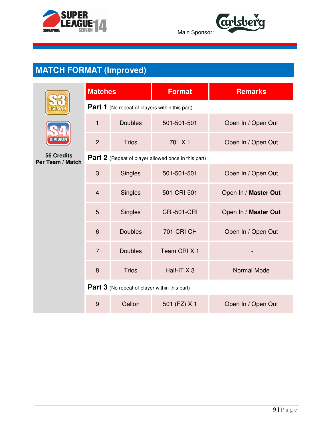



|                                       | <b>Matches</b>                                        |                                                      | <b>Format</b>          | <b>Remarks</b>       |  |  |  |
|---------------------------------------|-------------------------------------------------------|------------------------------------------------------|------------------------|----------------------|--|--|--|
| <b>DIVISION</b>                       | <b>Part 1</b> (No repeat of players within this part) |                                                      |                        |                      |  |  |  |
|                                       | 1                                                     | <b>Doubles</b>                                       | 501-501-501            | Open In / Open Out   |  |  |  |
| <b>DIVISION</b>                       | $\overline{2}$                                        | <b>Trios</b>                                         | 701 X 1                | Open In / Open Out   |  |  |  |
| <b>56 Credits</b><br>Per Team / Match | Part 2 (Repeat of player allowed once in this part)   |                                                      |                        |                      |  |  |  |
|                                       | 3                                                     | <b>Singles</b>                                       | 501-501-501            | Open In / Open Out   |  |  |  |
|                                       | $\overline{4}$                                        | <b>Singles</b>                                       | 501-CRI-501            | Open In / Master Out |  |  |  |
|                                       | 5                                                     | <b>Singles</b>                                       | <b>CRI-501-CRI</b>     | Open In / Master Out |  |  |  |
|                                       | 6                                                     | <b>Doubles</b>                                       | 701-CRI-CH             | Open In / Open Out   |  |  |  |
|                                       | $\overline{7}$                                        | <b>Doubles</b>                                       | Team CRIX <sub>1</sub> |                      |  |  |  |
|                                       | 8                                                     | <b>Trios</b>                                         | Half-IT X 3            | <b>Normal Mode</b>   |  |  |  |
|                                       |                                                       | <b>Part 3</b> (No repeat of player within this part) |                        |                      |  |  |  |
|                                       | $\overline{9}$                                        | Gallon                                               | 501 (FZ) X 1           | Open In / Open Out   |  |  |  |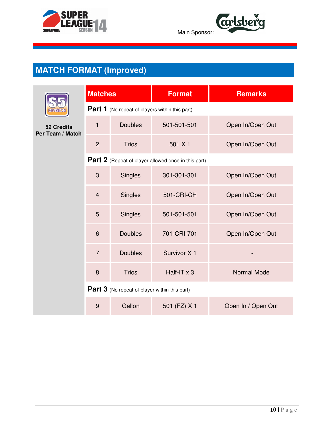



|                                       | <b>Matches</b> |                                                       | <b>Format</b>                                       | <b>Remarks</b>     |
|---------------------------------------|----------------|-------------------------------------------------------|-----------------------------------------------------|--------------------|
| <b>ASION</b>                          |                | <b>Part 1</b> (No repeat of players within this part) |                                                     |                    |
| <b>52 Credits</b><br>Per Team / Match | $\mathbf{1}$   | <b>Doubles</b>                                        | 501-501-501                                         | Open In/Open Out   |
|                                       | $\overline{2}$ | <b>Trios</b>                                          | 501 X 1                                             | Open In/Open Out   |
|                                       |                |                                                       | Part 2 (Repeat of player allowed once in this part) |                    |
|                                       | 3              | <b>Singles</b>                                        | 301-301-301                                         | Open In/Open Out   |
|                                       | $\overline{4}$ | <b>Singles</b>                                        | <b>501-CRI-CH</b>                                   | Open In/Open Out   |
|                                       | 5              | <b>Singles</b>                                        | 501-501-501                                         | Open In/Open Out   |
|                                       | 6              | <b>Doubles</b>                                        | 701-CRI-701                                         | Open In/Open Out   |
|                                       | $\overline{7}$ | <b>Doubles</b>                                        | Survivor X 1                                        |                    |
|                                       | 8              | <b>Trios</b>                                          | Half-IT x 3                                         | <b>Normal Mode</b> |
|                                       |                | <b>Part 3</b> (No repeat of player within this part)  |                                                     |                    |
|                                       | 9              | Gallon                                                | 501 (FZ) X 1                                        | Open In / Open Out |